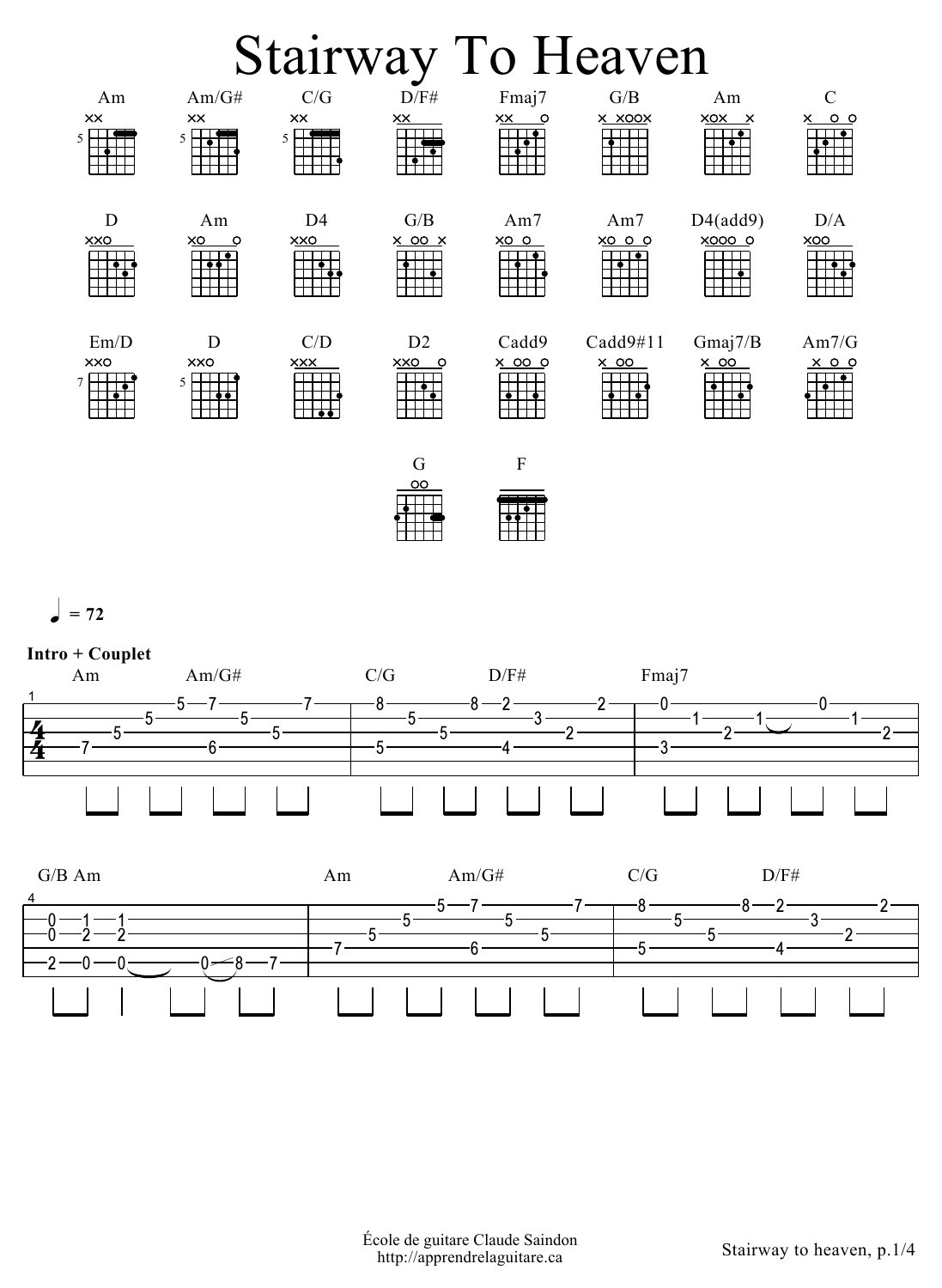## Stairway To Heaven



 $= 72$ 



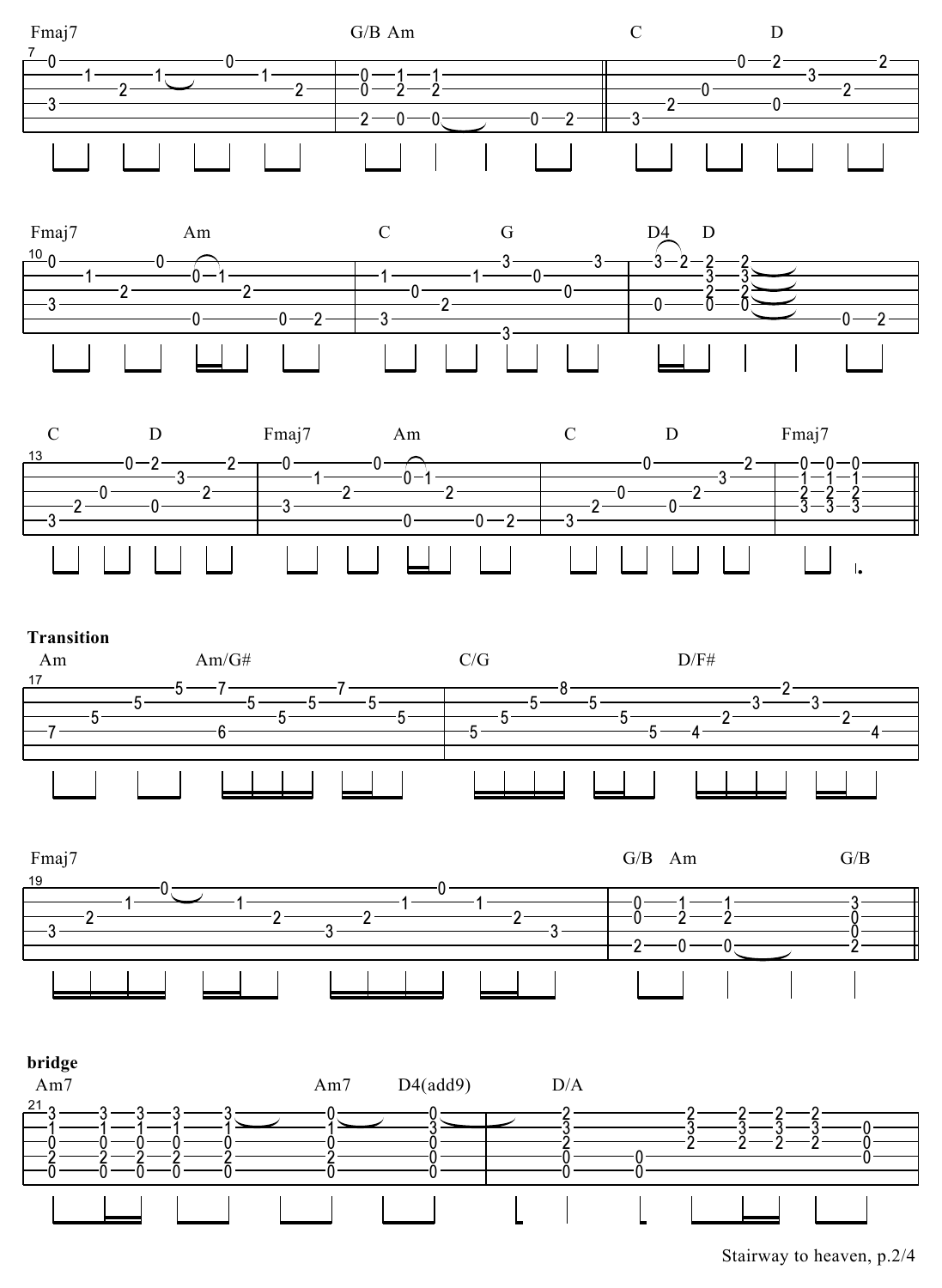











Stairway to heaven, p.2/4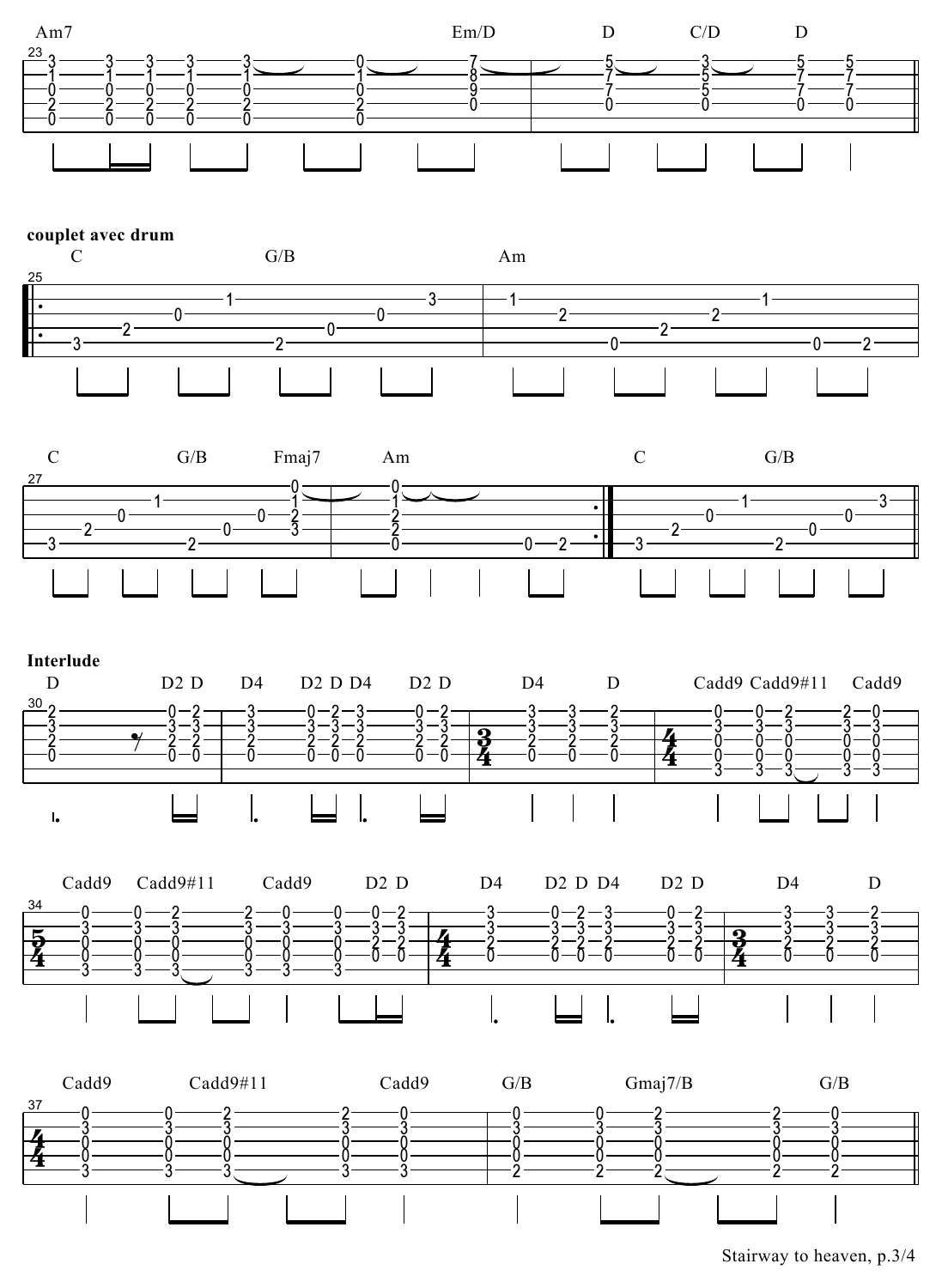

## couplet avec drum











Stairway to heaven, p.3/4